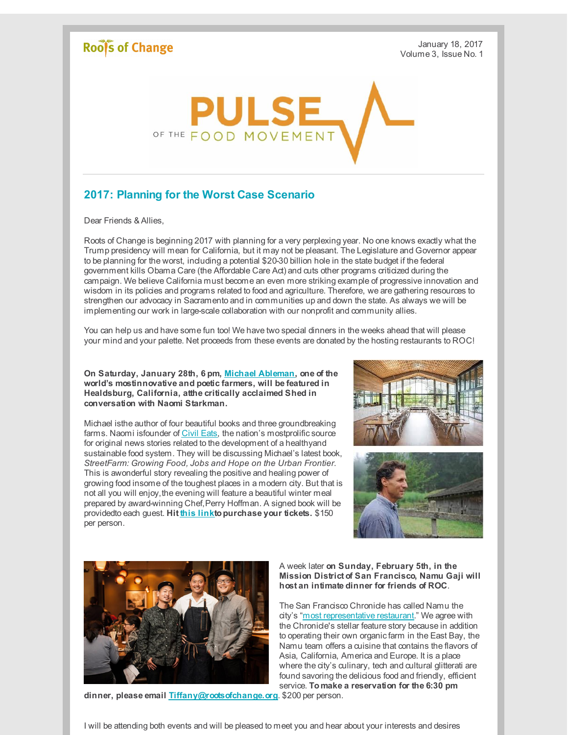## Roof's of Change

January 18, 2017 Volume 3, Issue No. 1



## **2017: Planning for the Worst Case Scenario**

Dear Friends & Allies,

Roots of Change is beginning 2017 with planning for a very perplexing year. No one knows exactly what the Trump presidency will mean for California, but it may not be pleasant. The Legislature and Governor appear to be planning for the worst, including a potential \$20-30 billion hole in the state budget if the federal government kills Obama Care (the Affordable Care Act) and cuts other programs criticized during the campaign. We believe California must become an even more striking example of progressive innovation and wisdom in its policies and programs related to food and agriculture. Therefore, we are gathering resources to strengthen our advocacy in Sacramento and in communities up and down the state. As always we will be implementing our work in large-scale collaboration with our nonprofit and community allies.

You can help us and have some fun too! We have two special dinners in the weeks ahead that will please your mind and your palette. Net proceeds from these events are donated by the hosting restaurants to ROC!

## **On Saturday, January 28th, 6 pm, Michael [Ableman](http://r20.rs6.net/tn.jsp?f=001Cl6InKqvSXVxKMOduHnat7AmiPEDgWL7S8VX-5FECu-ts_RAMc8WK2ba6RyalWhjLpvqxpcZGQ0UoU1sDWvE4NuVMLrtuJzdUxH21Mw4x5rgvcw4ZVRUQ6McrikbxY1V-52eDtK-8dYQntq016WRHA==&c=&ch=), one of the world's mostinnovative and poetic farmers, will be featured in Healdsburg, California, atthe critically acclaimed Shed in conversation with Naomi Starkman.**

Michael isthe author of four beautiful books and three groundbreaking farms. Naomi isfounder of [Civil](http://r20.rs6.net/tn.jsp?f=001Cl6InKqvSXVxKMOduHnat7AmiPEDgWL7S8VX-5FECu-ts_RAMc8WKxjQo938Yf4gTLmRbIwEsMyIiGOPAyuejz6eQ3NDOf6qAXkBYQ1z7KTe1gxCJaKjcw0ITeW1nkn0-YOUe9QEH7k3f89T0nbrcw==&c=&ch=) Eats, the nation's mostprolific source for original news stories related to the development of a healthyand sustainable food system. They will be discussing Michael's latest book, *StreetFarm: Growing Food, Jobs and Hope on the Urban Frontier.* This is awonderful story revealing the positive and healing power of growing food insome of the toughest places in a modern city. But that is not all you will enjoy, the evening will feature a beautiful winter meal prepared by award-winning Chef, Perry Hoffman. A signed book will be providedto each guest. **Hit [this](http://r20.rs6.net/tn.jsp?f=001Cl6InKqvSXVxKMOduHnat7AmiPEDgWL7S8VX-5FECu-ts_RAMc8WKwJyL8W9Ejkxu6iQvp-eQQ_zw_6QA4t-htiVFefGl0Zldqz1bmC1RlABqwC3rGi3z1Pmpo1YHUmXukqvhzw2qJ4WWaGTlcDqoJ7yDORESdG1mXeq18Ib-po3nZuAt_9PVw==&c=&ch=) linktopurchase your tickets.** \$150 per person.







A week later **on Sunday, February 5th, in the Mission District of San Francisco, Namu Gaji will host an intimate dinner for friends of ROC**.

The San Francisco Chronicle has called Namu the city's "most [representative](http://r20.rs6.net/tn.jsp?f=001Cl6InKqvSXVxKMOduHnat7AmiPEDgWL7S8VX-5FECu-ts_RAMc8WK5cJUJiPhjY8vtqXo52PI6UDsh5-D7X33JDzzlD61nalTkCSyL57KDcUy2LQqLhyfo7MSuEVtYXNiqS01U1g5KOz6Rnwc4ww4UBMz8E4FZ7MtS85pfb9a2rfiAKLP3qL5-spqgfpVj_zBH2JQNZSpesDbQoz2Vdw8zn9JTIMjfRhcBgvGMJ5k_FVgFb3pkQsGBZZUQirzOQ-&c=&ch=) restaurant." We agree with the Chronide's stellar feature story because in addition to operating their own organicfarm in the East Bay, the Namu team offers a cuisine that contains the flavors of Asia, California, America and Europe. It is a place where the city's culinary, tech and cultural glitterati are found savoring the delicious food and friendly, efficient service. **Tomake a reservation for the 6:30 pm**

**dinner, please email [Tiffany@rootsofchange.org](mailto:Tiffany@rootsofchange.org)**. \$200 per person.

I will be attending both events and will be pleased to meet you and hear about your interests and desires